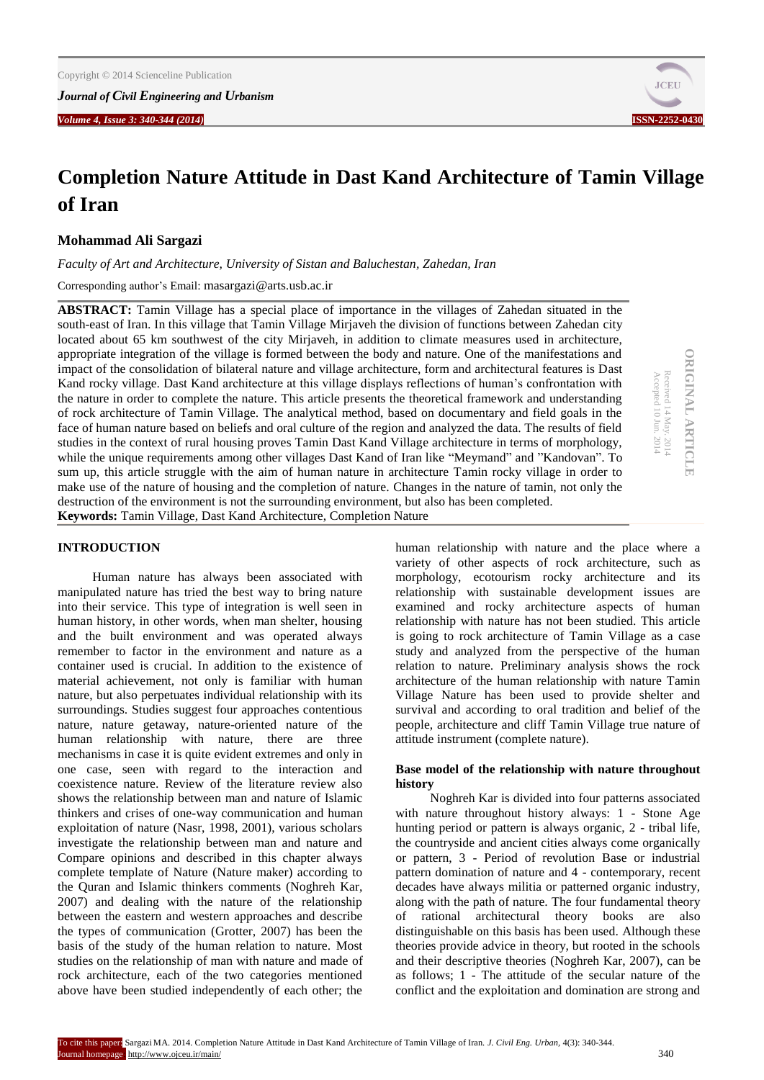*Journal of Civil Engineering and Urbanism*

*Volume 4, Issue 3: 340-344 (2014)* **ISSN-2252-0430**



# **Completion Nature Attitude in Dast Kand Architecture of Tamin Village of Iran**

# **Mohammad Ali Sargazi**

*Faculty of Art and Architecture, University of Sistan and Baluchestan, Zahedan, Iran*

Corresponding author's Email: masargazi@arts.usb.ac.ir

**ABSTRACT:** Tamin Village has a special place of importance in the villages of Zahedan situated in the south-east of Iran. In this village that Tamin Village Mirjaveh the division of functions between Zahedan city located about 65 km southwest of the city Mirjaveh, in addition to climate measures used in architecture, appropriate integration of the village is formed between the body and nature. One of the manifestations and impact of the consolidation of bilateral nature and village architecture, form and architectural features is Dast Kand rocky village. Dast Kand architecture at this village displays reflections of human's confrontation with the nature in order to complete the nature. This article presents the theoretical framework and understanding of rock architecture of Tamin Village. The analytical method, based on documentary and field goals in the face of human nature based on beliefs and oral culture of the region and analyzed the data. The results of field studies in the context of rural housing proves Tamin Dast Kand Village architecture in terms of morphology, while the unique requirements among other villages Dast Kand of Iran like "Meymand" and "Kandovan". To sum up, this article struggle with the aim of human nature in architecture Tamin rocky village in order to make use of the nature of housing and the completion of nature. Changes in the nature of tamin, not only the destruction of the environment is not the surrounding environment, but also has been completed. **Keywords:** Tamin Village, Dast Kand Architecture, Completion Nature

Accepted 10 Jun. 2014

### **INTRODUCTION**

Human nature has always been associated with manipulated nature has tried the best way to bring nature into their service. This type of integration is well seen in human history, in other words, when man shelter, housing and the built environment and was operated always remember to factor in the environment and nature as a container used is crucial. In addition to the existence of material achievement, not only is familiar with human nature, but also perpetuates individual relationship with its surroundings. Studies suggest four approaches contentious nature, nature getaway, nature-oriented nature of the human relationship with nature, there are three mechanisms in case it is quite evident extremes and only in one case, seen with regard to the interaction and coexistence nature. Review of the literature review also shows the relationship between man and nature of Islamic thinkers and crises of one-way communication and human exploitation of nature (Nasr, 1998, 2001), various scholars investigate the relationship between man and nature and Compare opinions and described in this chapter always complete template of Nature (Nature maker) according to the Quran and Islamic thinkers comments (Noghreh Kar, 2007) and dealing with the nature of the relationship between the eastern and western approaches and describe the types of communication (Grotter, 2007) has been the basis of the study of the human relation to nature. Most studies on the relationship of man with nature and made of rock architecture, each of the two categories mentioned above have been studied independently of each other; the

human relationship with nature and the place where a variety of other aspects of rock architecture, such as morphology, ecotourism rocky architecture and its relationship with sustainable development issues are examined and rocky architecture aspects of human relationship with nature has not been studied. This article is going to rock architecture of Tamin Village as a case study and analyzed from the perspective of the human relation to nature. Preliminary analysis shows the rock architecture of the human relationship with nature Tamin Village Nature has been used to provide shelter and survival and according to oral tradition and belief of the people, architecture and cliff Tamin Village true nature of attitude instrument (complete nature).

## **Base model of the relationship with nature throughout history**

Noghreh Kar is divided into four patterns associated with nature throughout history always: 1 - Stone Age hunting period or pattern is always organic, 2 - tribal life, the countryside and ancient cities always come organically or pattern, 3 - Period of revolution Base or industrial pattern domination of nature and 4 - contemporary, recent decades have always militia or patterned organic industry, along with the path of nature. The four fundamental theory of rational architectural theory books are also distinguishable on this basis has been used. Although these theories provide advice in theory, but rooted in the schools and their descriptive theories (Noghreh Kar, 2007), can be as follows; 1 - The attitude of the secular nature of the conflict and the exploitation and domination are strong and

**ORIGINAL ARTICLE ORIGINAL ARTICLE** Received 14 May. 2014<br>Accepted 10 Jun. 2014 Received 14 May. 2014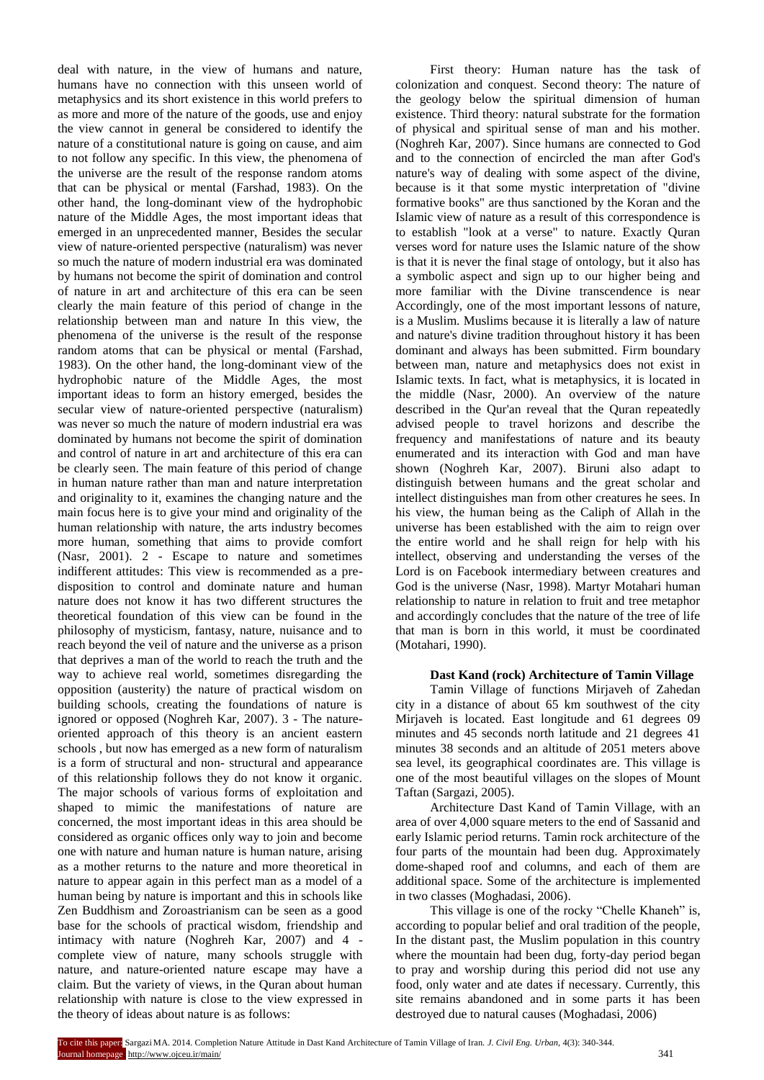deal with nature, in the view of humans and nature, humans have no connection with this unseen world of metaphysics and its short existence in this world prefers to as more and more of the nature of the goods, use and enjoy the view cannot in general be considered to identify the nature of a constitutional nature is going on cause, and aim to not follow any specific. In this view, the phenomena of the universe are the result of the response random atoms that can be physical or mental (Farshad, 1983). On the other hand, the long-dominant view of the hydrophobic nature of the Middle Ages, the most important ideas that emerged in an unprecedented manner, Besides the secular view of nature-oriented perspective (naturalism) was never so much the nature of modern industrial era was dominated by humans not become the spirit of domination and control of nature in art and architecture of this era can be seen clearly the main feature of this period of change in the relationship between man and nature In this view, the phenomena of the universe is the result of the response random atoms that can be physical or mental (Farshad, 1983). On the other hand, the long-dominant view of the hydrophobic nature of the Middle Ages, the most important ideas to form an history emerged, besides the secular view of nature-oriented perspective (naturalism) was never so much the nature of modern industrial era was dominated by humans not become the spirit of domination and control of nature in art and architecture of this era can be clearly seen. The main feature of this period of change in human nature rather than man and nature interpretation and originality to it, examines the changing nature and the main focus here is to give your mind and originality of the human relationship with nature, the arts industry becomes more human, something that aims to provide comfort (Nasr, 2001). 2 - Escape to nature and sometimes indifferent attitudes: This view is recommended as a predisposition to control and dominate nature and human nature does not know it has two different structures the theoretical foundation of this view can be found in the philosophy of mysticism, fantasy, nature, nuisance and to reach beyond the veil of nature and the universe as a prison that deprives a man of the world to reach the truth and the way to achieve real world, sometimes disregarding the opposition (austerity) the nature of practical wisdom on building schools, creating the foundations of nature is ignored or opposed (Noghreh Kar, 2007). 3 - The natureoriented approach of this theory is an ancient eastern schools , but now has emerged as a new form of naturalism is a form of structural and non- structural and appearance of this relationship follows they do not know it organic. The major schools of various forms of exploitation and shaped to mimic the manifestations of nature are concerned, the most important ideas in this area should be considered as organic offices only way to join and become one with nature and human nature is human nature, arising as a mother returns to the nature and more theoretical in nature to appear again in this perfect man as a model of a human being by nature is important and this in schools like Zen Buddhism and Zoroastrianism can be seen as a good base for the schools of practical wisdom, friendship and intimacy with nature (Noghreh Kar, 2007) and 4 complete view of nature, many schools struggle with nature, and nature-oriented nature escape may have a claim. But the variety of views, in the Quran about human relationship with nature is close to the view expressed in the theory of ideas about nature is as follows:

First theory: Human nature has the task of colonization and conquest. Second theory: The nature of the geology below the spiritual dimension of human existence. Third theory: natural substrate for the formation of physical and spiritual sense of man and his mother. (Noghreh Kar, 2007). Since humans are connected to God and to the connection of encircled the man after God's nature's way of dealing with some aspect of the divine, because is it that some mystic interpretation of "divine formative books" are thus sanctioned by the Koran and the Islamic view of nature as a result of this correspondence is to establish "look at a verse" to nature. Exactly Quran verses word for nature uses the Islamic nature of the show is that it is never the final stage of ontology, but it also has a symbolic aspect and sign up to our higher being and more familiar with the Divine transcendence is near Accordingly, one of the most important lessons of nature, is a Muslim. Muslims because it is literally a law of nature and nature's divine tradition throughout history it has been dominant and always has been submitted. Firm boundary between man, nature and metaphysics does not exist in Islamic texts. In fact, what is metaphysics, it is located in the middle (Nasr, 2000). An overview of the nature described in the Qur'an reveal that the Quran repeatedly advised people to travel horizons and describe the frequency and manifestations of nature and its beauty enumerated and its interaction with God and man have shown (Noghreh Kar, 2007). Biruni also adapt to distinguish between humans and the great scholar and intellect distinguishes man from other creatures he sees. In his view, the human being as the Caliph of Allah in the universe has been established with the aim to reign over the entire world and he shall reign for help with his intellect, observing and understanding the verses of the Lord is on Facebook intermediary between creatures and God is the universe (Nasr, 1998). Martyr Motahari human relationship to nature in relation to fruit and tree metaphor and accordingly concludes that the nature of the tree of life that man is born in this world, it must be coordinated (Motahari, 1990).

# **Dast Kand (rock) Architecture of Tamin Village**

Tamin Village of functions Mirjaveh of Zahedan city in a distance of about 65 km southwest of the city Mirjaveh is located. East longitude and 61 degrees 09 minutes and 45 seconds north latitude and 21 degrees 41 minutes 38 seconds and an altitude of 2051 meters above sea level, its geographical coordinates are. This village is one of the most beautiful villages on the slopes of Mount Taftan (Sargazi, 2005).

Architecture Dast Kand of Tamin Village, with an area of over 4,000 square meters to the end of Sassanid and early Islamic period returns. Tamin rock architecture of the four parts of the mountain had been dug. Approximately dome-shaped roof and columns, and each of them are additional space. Some of the architecture is implemented in two classes (Moghadasi, 2006).

This village is one of the rocky "Chelle Khaneh" is, according to popular belief and oral tradition of the people, In the distant past, the Muslim population in this country where the mountain had been dug, forty-day period began to pray and worship during this period did not use any food, only water and ate dates if necessary. Currently, this site remains abandoned and in some parts it has been destroyed due to natural causes (Moghadasi, 2006)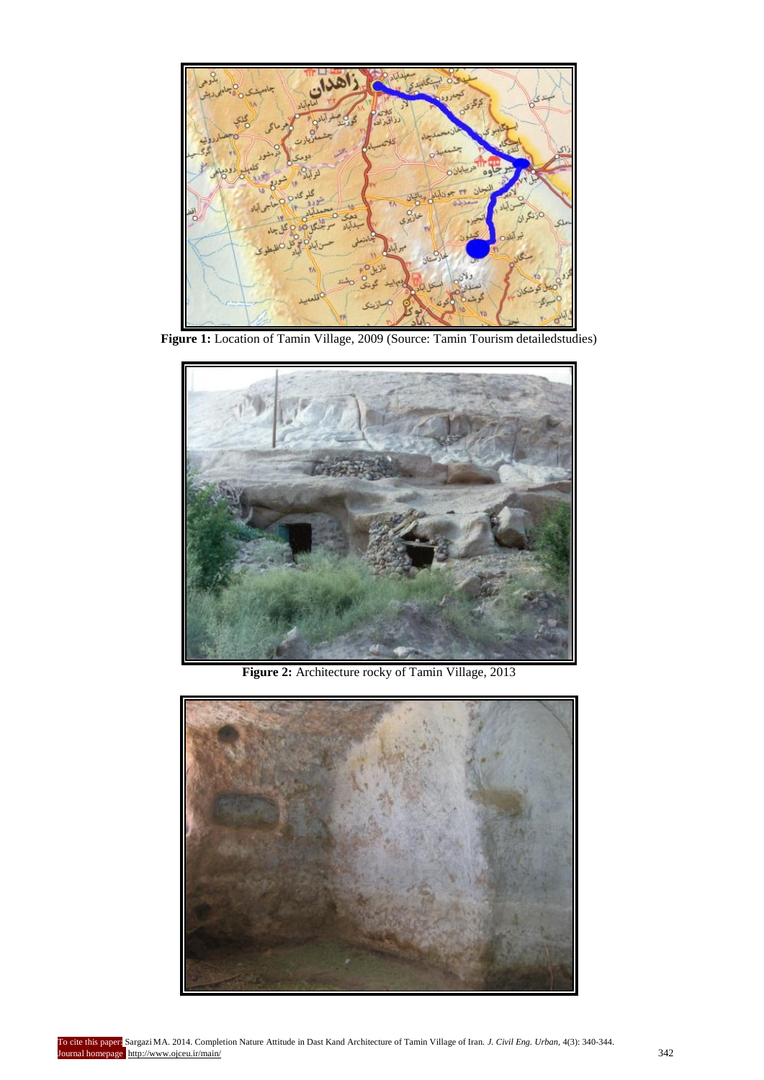

**Figure 1:** Location of Tamin Village, 2009 (Source: Tamin Tourism detailedstudies)



**Figure 2:** Architecture rocky of Tamin Village, 2013

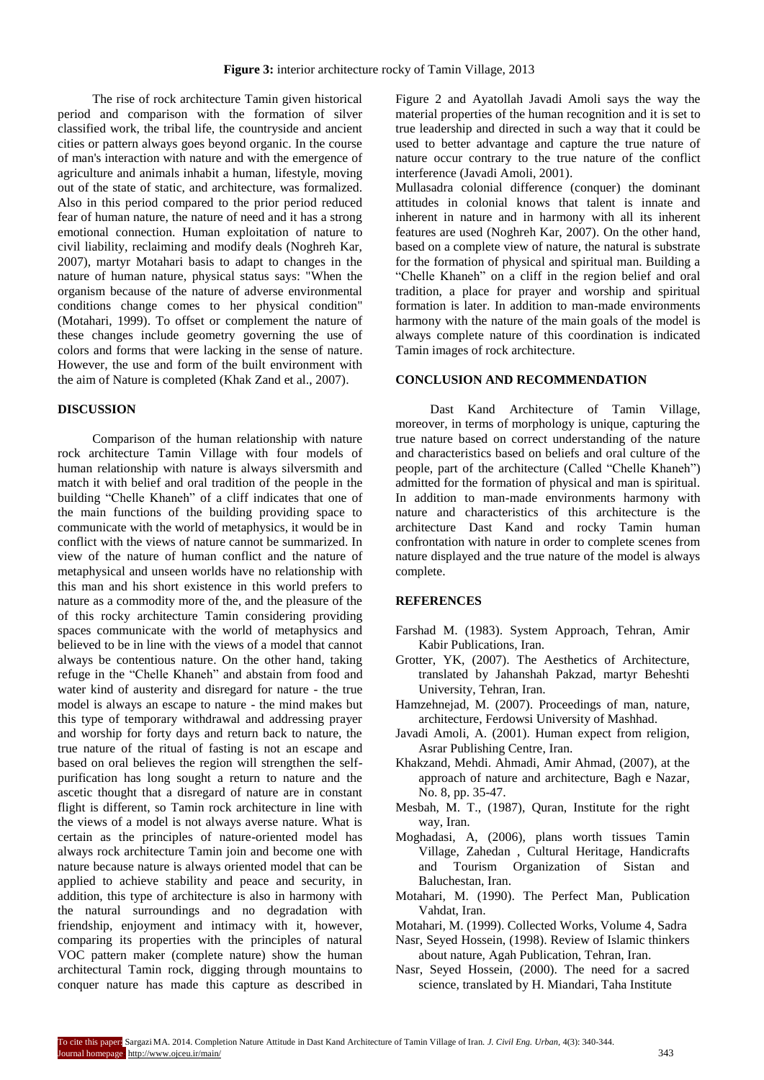The rise of rock architecture Tamin given historical period and comparison with the formation of silver classified work, the tribal life, the countryside and ancient cities or pattern always goes beyond organic. In the course of man's interaction with nature and with the emergence of agriculture and animals inhabit a human, lifestyle, moving out of the state of static, and architecture, was formalized. Also in this period compared to the prior period reduced fear of human nature, the nature of need and it has a strong emotional connection. Human exploitation of nature to civil liability, reclaiming and modify deals (Noghreh Kar, 2007), martyr Motahari basis to adapt to changes in the nature of human nature, physical status says: "When the organism because of the nature of adverse environmental conditions change comes to her physical condition" (Motahari, 1999). To offset or complement the nature of these changes include geometry governing the use of colors and forms that were lacking in the sense of nature. However, the use and form of the built environment with the aim of Nature is completed (Khak Zand et al., 2007).

#### **DISCUSSION**

Comparison of the human relationship with nature rock architecture Tamin Village with four models of human relationship with nature is always silversmith and match it with belief and oral tradition of the people in the building "Chelle Khaneh" of a cliff indicates that one of the main functions of the building providing space to communicate with the world of metaphysics, it would be in conflict with the views of nature cannot be summarized. In view of the nature of human conflict and the nature of metaphysical and unseen worlds have no relationship with this man and his short existence in this world prefers to nature as a commodity more of the, and the pleasure of the of this rocky architecture Tamin considering providing spaces communicate with the world of metaphysics and believed to be in line with the views of a model that cannot always be contentious nature. On the other hand, taking refuge in the "Chelle Khaneh" and abstain from food and water kind of austerity and disregard for nature - the true model is always an escape to nature - the mind makes but this type of temporary withdrawal and addressing prayer and worship for forty days and return back to nature, the true nature of the ritual of fasting is not an escape and based on oral believes the region will strengthen the selfpurification has long sought a return to nature and the ascetic thought that a disregard of nature are in constant flight is different, so Tamin rock architecture in line with the views of a model is not always averse nature. What is certain as the principles of nature-oriented model has always rock architecture Tamin join and become one with nature because nature is always oriented model that can be applied to achieve stability and peace and security, in addition, this type of architecture is also in harmony with the natural surroundings and no degradation with friendship, enjoyment and intimacy with it, however, comparing its properties with the principles of natural VOC pattern maker (complete nature) show the human architectural Tamin rock, digging through mountains to conquer nature has made this capture as described in

Figure 2 and Ayatollah Javadi Amoli says the way the material properties of the human recognition and it is set to true leadership and directed in such a way that it could be used to better advantage and capture the true nature of nature occur contrary to the true nature of the conflict interference (Javadi Amoli, 2001).

Mullasadra colonial difference (conquer) the dominant attitudes in colonial knows that talent is innate and inherent in nature and in harmony with all its inherent features are used (Noghreh Kar, 2007). On the other hand, based on a complete view of nature, the natural is substrate for the formation of physical and spiritual man. Building a "Chelle Khaneh" on a cliff in the region belief and oral tradition, a place for prayer and worship and spiritual formation is later. In addition to man-made environments harmony with the nature of the main goals of the model is always complete nature of this coordination is indicated Tamin images of rock architecture.

## **CONCLUSION AND RECOMMENDATION**

Dast Kand Architecture of Tamin Village, moreover, in terms of morphology is unique, capturing the true nature based on correct understanding of the nature and characteristics based on beliefs and oral culture of the people, part of the architecture (Called "Chelle Khaneh") admitted for the formation of physical and man is spiritual. In addition to man-made environments harmony with nature and characteristics of this architecture is the architecture Dast Kand and rocky Tamin human confrontation with nature in order to complete scenes from nature displayed and the true nature of the model is always complete.

# **REFERENCES**

- Farshad M. (1983). System Approach, Tehran, Amir Kabir Publications, Iran.
- Grotter, YK, (2007). The Aesthetics of Architecture, translated by Jahanshah Pakzad, martyr Beheshti University, Tehran, Iran.
- Hamzehnejad, M. (2007). Proceedings of man, nature, architecture, Ferdowsi University of Mashhad.
- Javadi Amoli, A. (2001). Human expect from religion, Asrar Publishing Centre, Iran.
- Khakzand, Mehdi. Ahmadi, Amir Ahmad, (2007), at the approach of nature and architecture, Bagh e Nazar, No. 8, pp. 35-47.
- Mesbah, M. T., (1987), Quran, Institute for the right way, Iran.
- Moghadasi, A, (2006), plans worth tissues Tamin Village, Zahedan , Cultural Heritage, Handicrafts and Tourism Organization of Sistan and Baluchestan, Iran.
- Motahari, M. (1990). The Perfect Man, Publication Vahdat, Iran.
- Motahari, M. (1999). Collected Works, Volume 4, Sadra
- Nasr, Seyed Hossein, (1998). Review of Islamic thinkers about nature, Agah Publication, Tehran, Iran.
- Nasr, Seyed Hossein, (2000). The need for a sacred science, translated by H. Miandari, Taha Institute